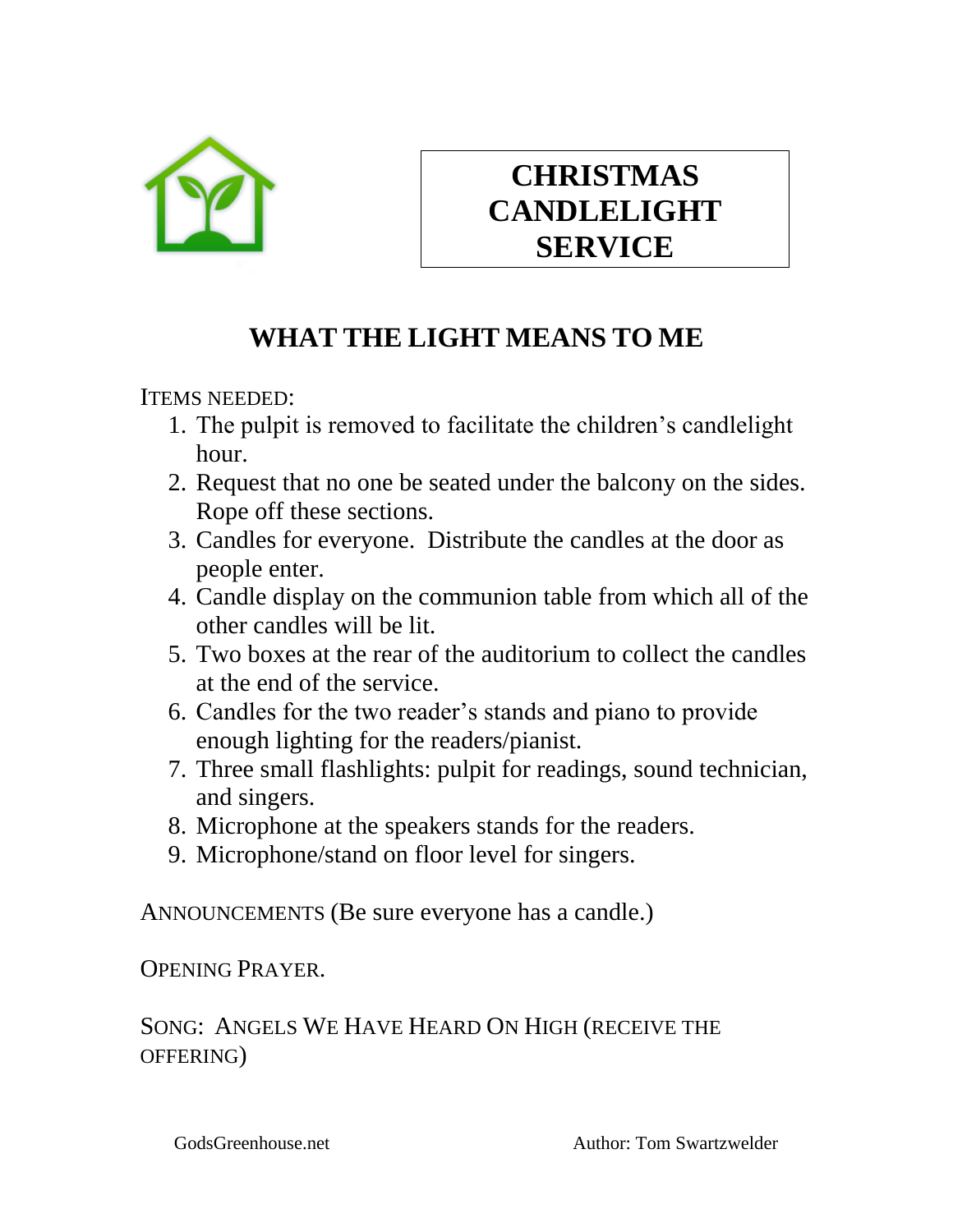

# **CHRISTMAS CANDLELIGHT SERVICE**

# **WHAT THE LIGHT MEANS TO ME**

ITEMS NEEDED:

- 1. The pulpit is removed to facilitate the children's candlelight hour.
- 2. Request that no one be seated under the balcony on the sides. Rope off these sections.
- 3. Candles for everyone. Distribute the candles at the door as people enter.
- 4. Candle display on the communion table from which all of the other candles will be lit.
- 5. Two boxes at the rear of the auditorium to collect the candles at the end of the service.
- 6. Candles for the two reader's stands and piano to provide enough lighting for the readers/pianist.
- 7. Three small flashlights: pulpit for readings, sound technician, and singers.
- 8. Microphone at the speakers stands for the readers.
- 9. Microphone/stand on floor level for singers.

ANNOUNCEMENTS (Be sure everyone has a candle.)

OPENING PRAYER.

## SONG: ANGELS WE HAVE HEARD ON HIGH (RECEIVE THE OFFERING)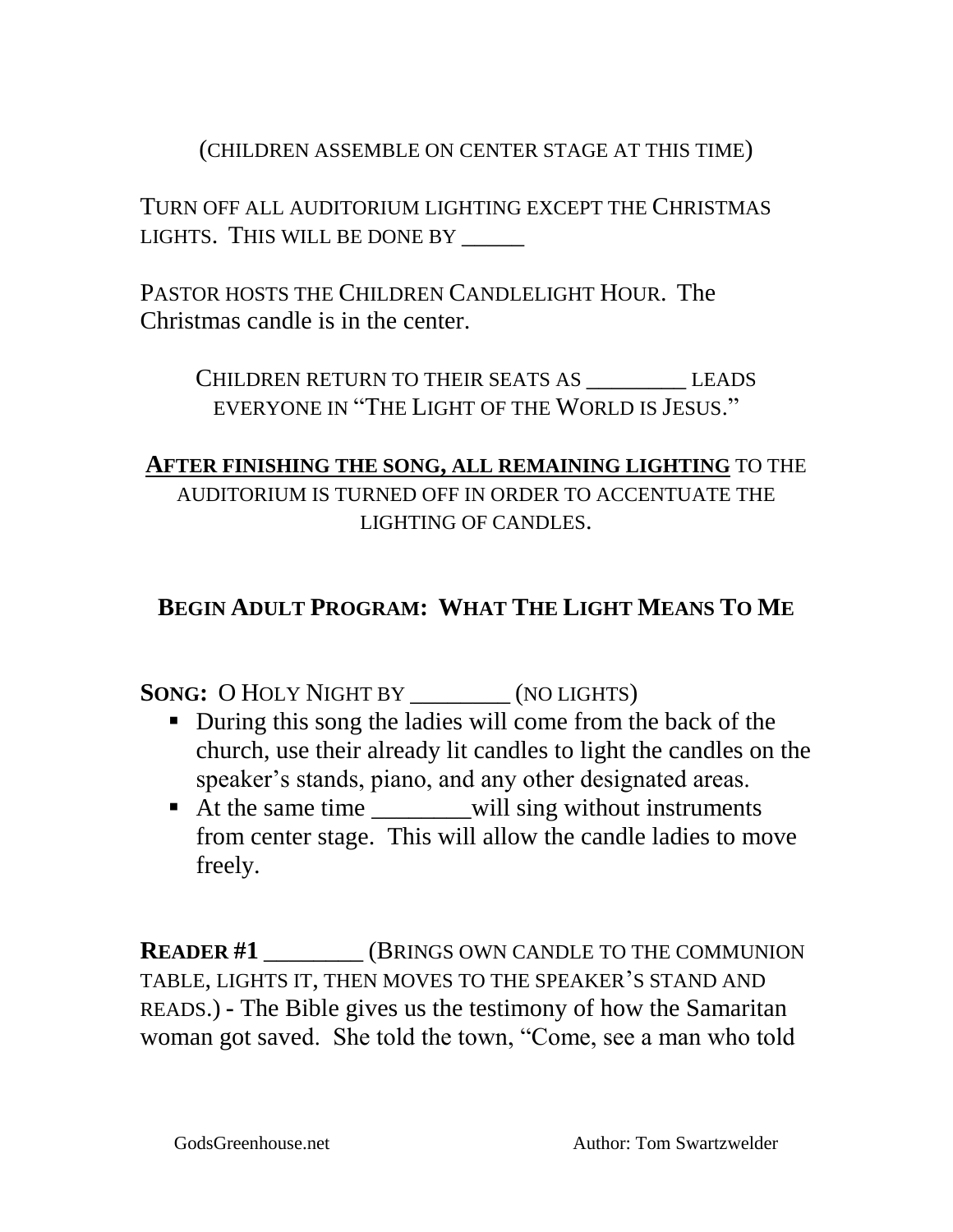#### (CHILDREN ASSEMBLE ON CENTER STAGE AT THIS TIME)

TURN OFF ALL AUDITORIUM LIGHTING EXCEPT THE CHRISTMAS LIGHTS. THIS WILL BE DONE BY \_\_\_\_\_\_

PASTOR HOSTS THE CHILDREN CANDLELIGHT HOUR. The Christmas candle is in the center.

CHILDREN RETURN TO THEIR SEATS AS \_\_\_\_\_\_\_\_ LEADS EVERYONE IN "THE LIGHT OF THE WORLD IS JESUS."

#### **AFTER FINISHING THE SONG, ALL REMAINING LIGHTING** TO THE AUDITORIUM IS TURNED OFF IN ORDER TO ACCENTUATE THE LIGHTING OF CANDLES.

## **BEGIN ADULT PROGRAM: WHAT THE LIGHT MEANS TO ME**

**SONG:** O HOLY NIGHT BY \_\_\_\_\_\_\_\_ (NO LIGHTS)

- During this song the ladies will come from the back of the church, use their already lit candles to light the candles on the speaker's stands, piano, and any other designated areas.
- At the same time will sing without instruments from center stage. This will allow the candle ladies to move freely.

**READER #1** (BRINGS OWN CANDLE TO THE COMMUNION TABLE, LIGHTS IT, THEN MOVES TO THE SPEAKER'S STAND AND READS.) **-** The Bible gives us the testimony of how the Samaritan woman got saved. She told the town, "Come, see a man who told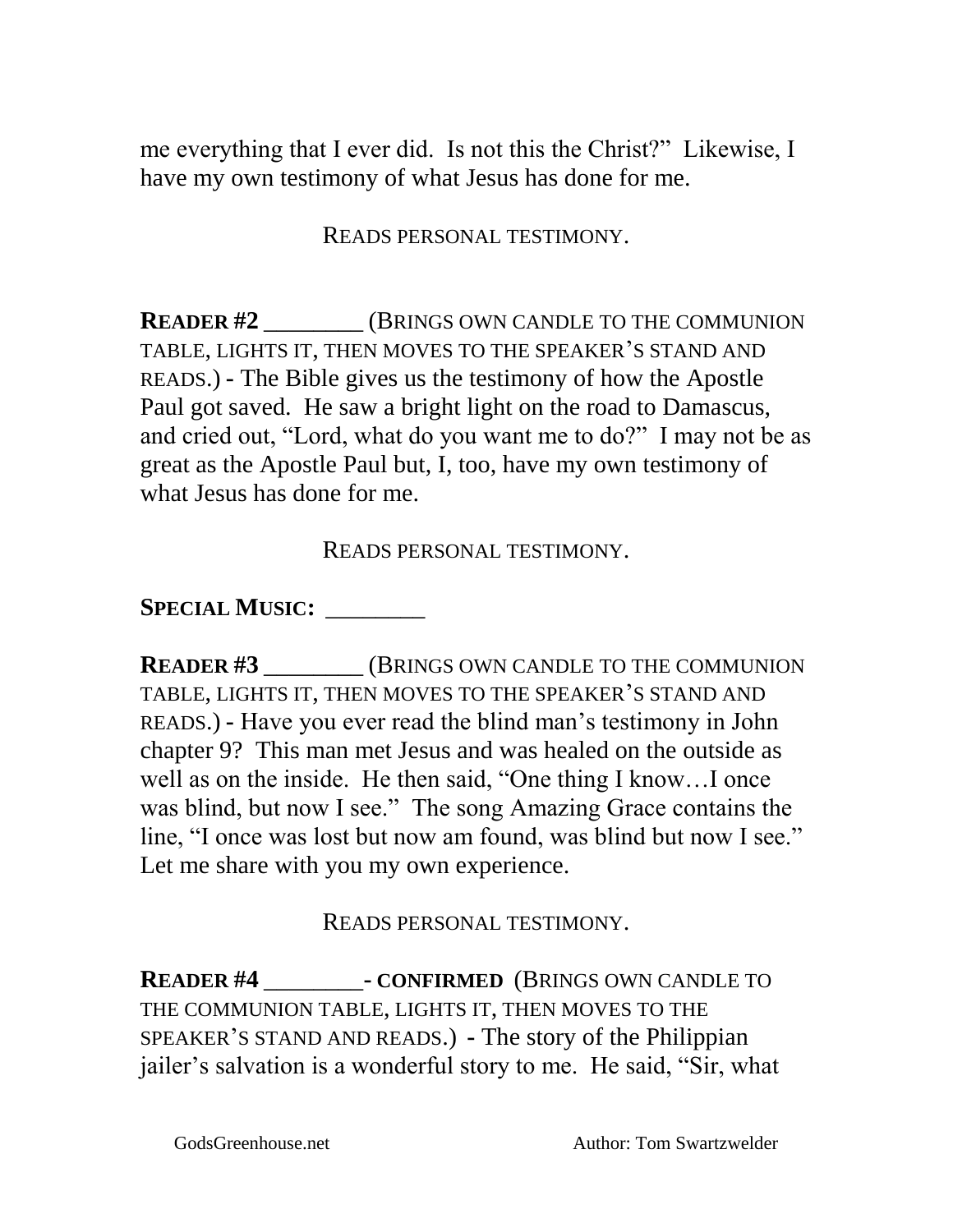me everything that I ever did. Is not this the Christ?" Likewise, I have my own testimony of what Jesus has done for me.

READS PERSONAL TESTIMONY.

**READER #2** \_\_\_\_\_\_\_\_ (BRINGS OWN CANDLE TO THE COMMUNION TABLE, LIGHTS IT, THEN MOVES TO THE SPEAKER'S STAND AND READS.) **-** The Bible gives us the testimony of how the Apostle Paul got saved. He saw a bright light on the road to Damascus, and cried out, "Lord, what do you want me to do?" I may not be as great as the Apostle Paul but, I, too, have my own testimony of what Jesus has done for me.

READS PERSONAL TESTIMONY.

**SPECIAL MUSIC:** \_\_\_\_\_\_\_\_

**READER #3** \_\_\_\_\_\_\_\_ (BRINGS OWN CANDLE TO THE COMMUNION TABLE, LIGHTS IT, THEN MOVES TO THE SPEAKER'S STAND AND READS.) **-** Have you ever read the blind man's testimony in John chapter 9? This man met Jesus and was healed on the outside as well as on the inside. He then said, "One thing I know…I once was blind, but now I see." The song Amazing Grace contains the line, "I once was lost but now am found, was blind but now I see." Let me share with you my own experience.

READS PERSONAL TESTIMONY.

**READER #4** \_\_\_\_\_\_\_\_**- CONFIRMED** (BRINGS OWN CANDLE TO THE COMMUNION TABLE, LIGHTS IT, THEN MOVES TO THE SPEAKER'S STAND AND READS.) **-** The story of the Philippian jailer's salvation is a wonderful story to me. He said, "Sir, what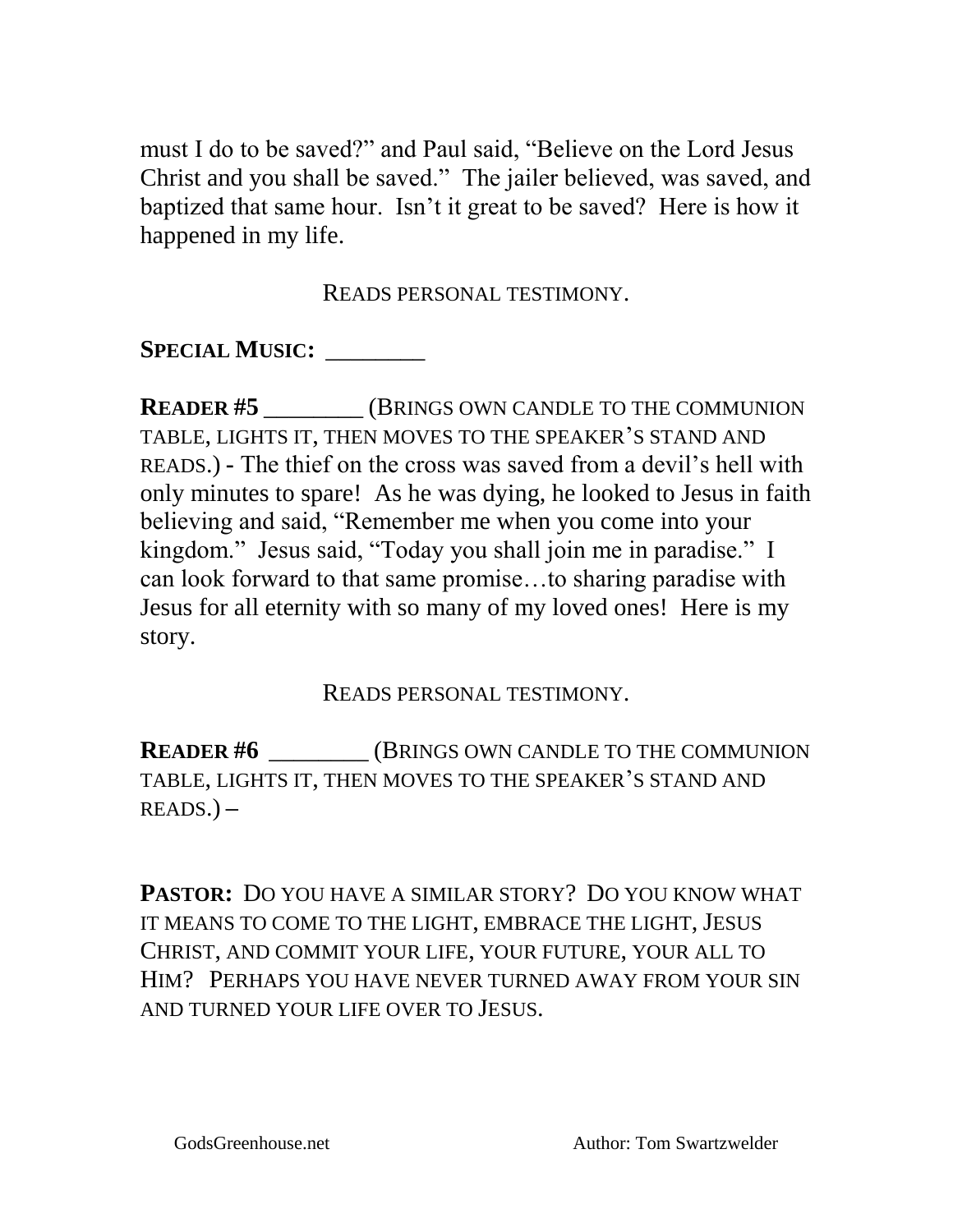must I do to be saved?" and Paul said, "Believe on the Lord Jesus Christ and you shall be saved." The jailer believed, was saved, and baptized that same hour. Isn't it great to be saved? Here is how it happened in my life.

READS PERSONAL TESTIMONY.

**SPECIAL MUSIC:** \_\_\_\_\_\_\_\_

**READER #5** \_\_\_\_\_\_\_\_ (BRINGS OWN CANDLE TO THE COMMUNION TABLE, LIGHTS IT, THEN MOVES TO THE SPEAKER'S STAND AND READS.) **-** The thief on the cross was saved from a devil's hell with only minutes to spare! As he was dying, he looked to Jesus in faith believing and said, "Remember me when you come into your kingdom." Jesus said, "Today you shall join me in paradise." I can look forward to that same promise…to sharing paradise with Jesus for all eternity with so many of my loved ones! Here is my story.

READS PERSONAL TESTIMONY.

**READER #6** \_\_\_\_\_\_\_\_ (BRINGS OWN CANDLE TO THE COMMUNION TABLE, LIGHTS IT, THEN MOVES TO THE SPEAKER'S STAND AND READS.) **–** 

**PASTOR:** DO YOU HAVE A SIMILAR STORY? DO YOU KNOW WHAT IT MEANS TO COME TO THE LIGHT, EMBRACE THE LIGHT, JESUS CHRIST, AND COMMIT YOUR LIFE, YOUR FUTURE, YOUR ALL TO HIM? PERHAPS YOU HAVE NEVER TURNED AWAY FROM YOUR SIN AND TURNED YOUR LIFE OVER TO JESUS.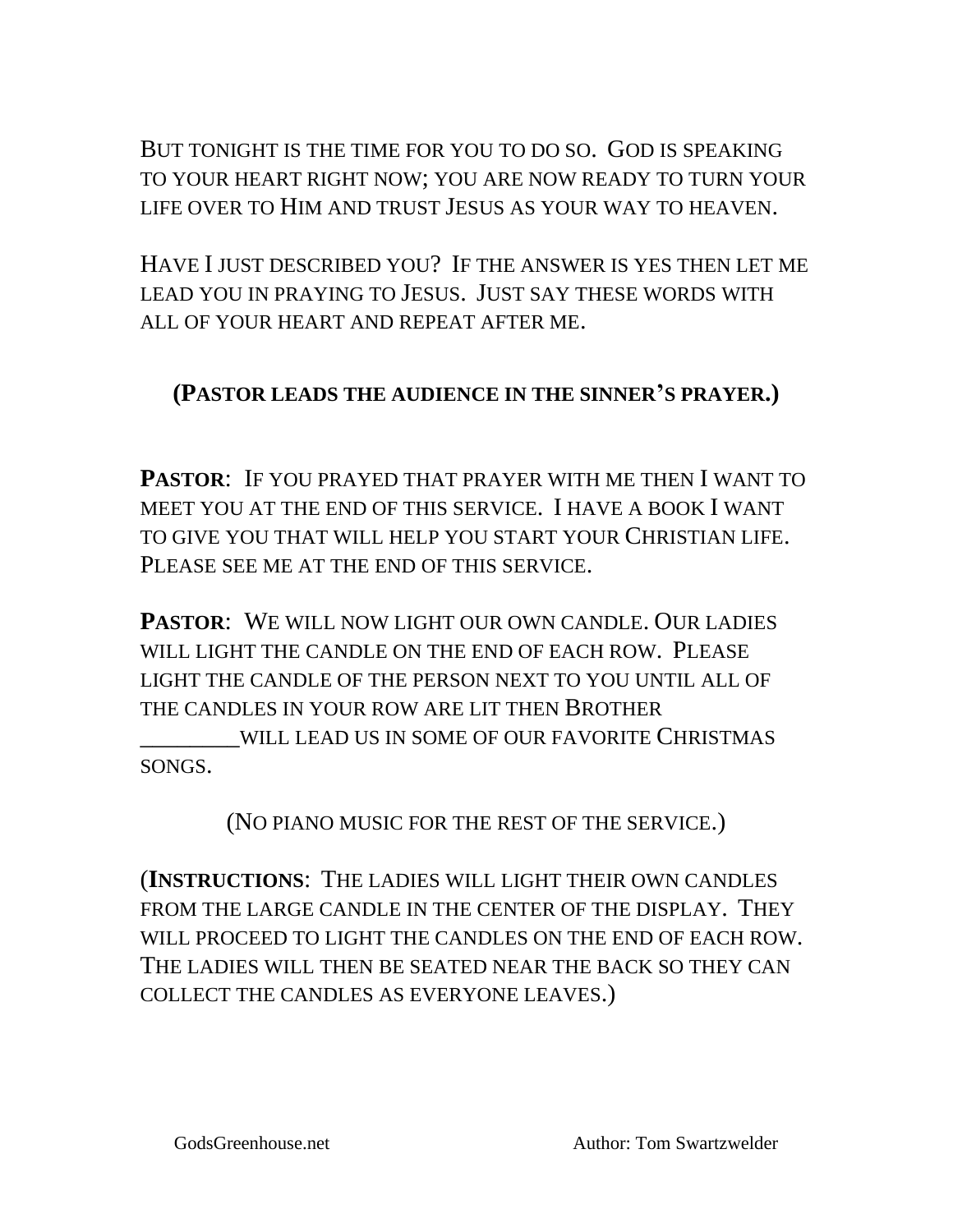BUT TONIGHT IS THE TIME FOR YOU TO DO SO. GOD IS SPEAKING TO YOUR HEART RIGHT NOW; YOU ARE NOW READY TO TURN YOUR LIFE OVER TO HIM AND TRUST JESUS AS YOUR WAY TO HEAVEN.

HAVE I JUST DESCRIBED YOU? IF THE ANSWER IS YES THEN LET ME LEAD YOU IN PRAYING TO JESUS. JUST SAY THESE WORDS WITH ALL OF YOUR HEART AND REPEAT AFTER ME.

#### **(PASTOR LEADS THE AUDIENCE IN THE SINNER'S PRAYER.)**

**PASTOR**: IF YOU PRAYED THAT PRAYER WITH ME THEN I WANT TO MEET YOU AT THE END OF THIS SERVICE. I HAVE A BOOK I WANT TO GIVE YOU THAT WILL HELP YOU START YOUR CHRISTIAN LIFE. PLEASE SEE ME AT THE END OF THIS SERVICE.

**PASTOR**: WE WILL NOW LIGHT OUR OWN CANDLE. OUR LADIES WILL LIGHT THE CANDLE ON THE END OF EACH ROW. PLEASE LIGHT THE CANDLE OF THE PERSON NEXT TO YOU UNTIL ALL OF THE CANDLES IN YOUR ROW ARE LIT THEN BROTHER

\_\_\_\_\_\_\_\_WILL LEAD US IN SOME OF OUR FAVORITE CHRISTMAS SONGS.

(NO PIANO MUSIC FOR THE REST OF THE SERVICE.)

(**INSTRUCTIONS**: THE LADIES WILL LIGHT THEIR OWN CANDLES FROM THE LARGE CANDLE IN THE CENTER OF THE DISPLAY. THEY WILL PROCEED TO LIGHT THE CANDLES ON THE END OF EACH ROW. THE LADIES WILL THEN BE SEATED NEAR THE BACK SO THEY CAN COLLECT THE CANDLES AS EVERYONE LEAVES.)